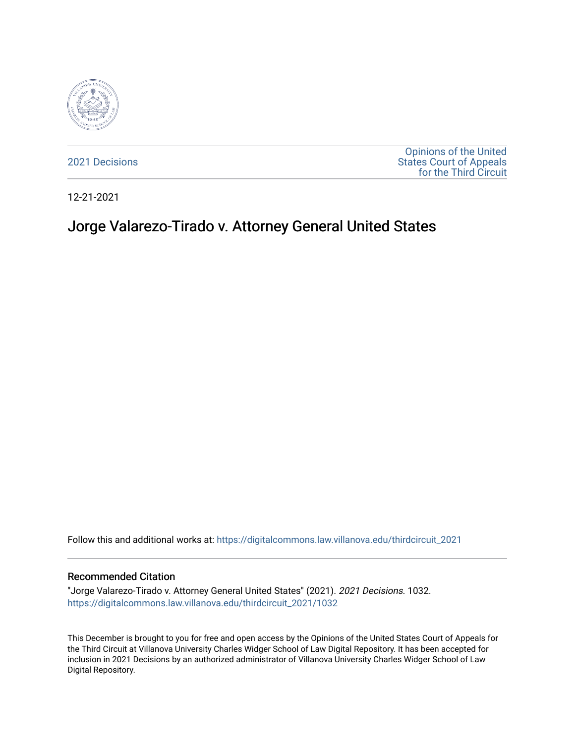

[2021 Decisions](https://digitalcommons.law.villanova.edu/thirdcircuit_2021)

[Opinions of the United](https://digitalcommons.law.villanova.edu/thirdcircuit)  [States Court of Appeals](https://digitalcommons.law.villanova.edu/thirdcircuit)  [for the Third Circuit](https://digitalcommons.law.villanova.edu/thirdcircuit) 

12-21-2021

# Jorge Valarezo-Tirado v. Attorney General United States

Follow this and additional works at: [https://digitalcommons.law.villanova.edu/thirdcircuit\\_2021](https://digitalcommons.law.villanova.edu/thirdcircuit_2021?utm_source=digitalcommons.law.villanova.edu%2Fthirdcircuit_2021%2F1032&utm_medium=PDF&utm_campaign=PDFCoverPages) 

#### Recommended Citation

"Jorge Valarezo-Tirado v. Attorney General United States" (2021). 2021 Decisions. 1032. [https://digitalcommons.law.villanova.edu/thirdcircuit\\_2021/1032](https://digitalcommons.law.villanova.edu/thirdcircuit_2021/1032?utm_source=digitalcommons.law.villanova.edu%2Fthirdcircuit_2021%2F1032&utm_medium=PDF&utm_campaign=PDFCoverPages) 

This December is brought to you for free and open access by the Opinions of the United States Court of Appeals for the Third Circuit at Villanova University Charles Widger School of Law Digital Repository. It has been accepted for inclusion in 2021 Decisions by an authorized administrator of Villanova University Charles Widger School of Law Digital Repository.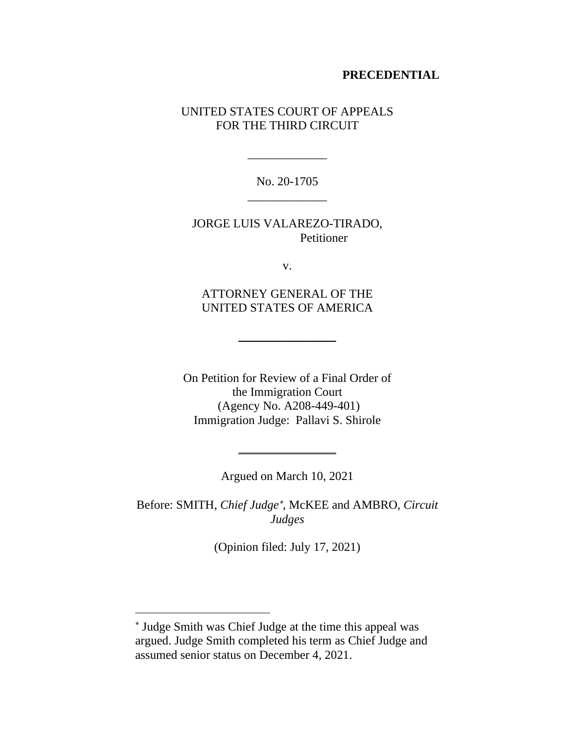## **PRECEDENTIAL**

# UNITED STATES COURT OF APPEALS FOR THE THIRD CIRCUIT

No. 20-1705 \_\_\_\_\_\_\_\_\_\_\_\_\_

\_\_\_\_\_\_\_\_\_\_\_\_\_

JORGE LUIS VALAREZO-TIRADO, Petitioner

v.

ATTORNEY GENERAL OF THE UNITED STATES OF AMERICA

 $\overline{\phantom{a}}$ 

On Petition for Review of a Final Order of the Immigration Court (Agency No. A208-449-401) Immigration Judge: Pallavi S. Shirole

Argued on March 10, 2021

 $\overline{\phantom{a}}$ 

Before: SMITH, *Chief Judge* , McKEE and AMBRO, *Circuit Judges*

(Opinion filed: July 17, 2021)

Judge Smith was Chief Judge at the time this appeal was argued. Judge Smith completed his term as Chief Judge and assumed senior status on December 4, 2021.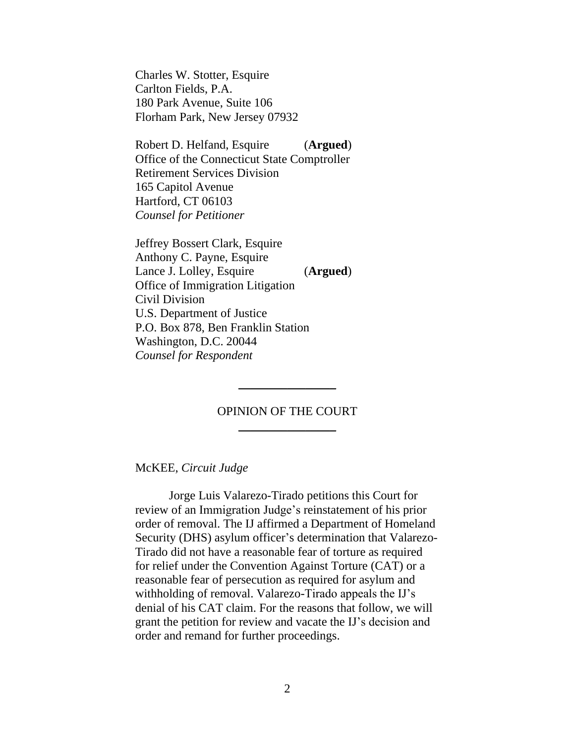Charles W. Stotter, Esquire Carlton Fields, P.A. 180 Park Avenue, Suite 106 Florham Park, New Jersey 07932

Robert D. Helfand, Esquire (**Argued**) Office of the Connecticut State Comptroller Retirement Services Division 165 Capitol Avenue Hartford, CT 06103 *Counsel for Petitioner*

Jeffrey Bossert Clark, Esquire Anthony C. Payne, Esquire Lance J. Lolley, Esquire (**Argued**) Office of Immigration Litigation Civil Division U.S. Department of Justice P.O. Box 878, Ben Franklin Station Washington, D.C. 20044 *Counsel for Respondent*

## OPINION OF THE COURT  $\overline{\phantom{a}}$

 $\overline{\phantom{a}}$ 

#### McKEE, *Circuit Judge*

Jorge Luis Valarezo-Tirado petitions this Court for review of an Immigration Judge's reinstatement of his prior order of removal. The IJ affirmed a Department of Homeland Security (DHS) asylum officer's determination that Valarezo-Tirado did not have a reasonable fear of torture as required for relief under the Convention Against Torture (CAT) or a reasonable fear of persecution as required for asylum and withholding of removal. Valarezo-Tirado appeals the IJ's denial of his CAT claim. For the reasons that follow, we will grant the petition for review and vacate the IJ's decision and order and remand for further proceedings.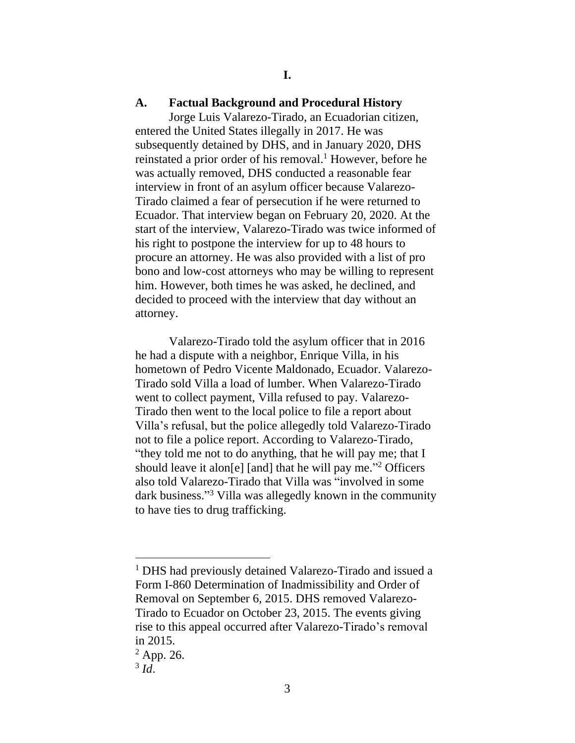## **A. Factual Background and Procedural History**

Jorge Luis Valarezo-Tirado, an Ecuadorian citizen, entered the United States illegally in 2017. He was subsequently detained by DHS, and in January 2020, DHS reinstated a prior order of his removal. <sup>1</sup> However, before he was actually removed, DHS conducted a reasonable fear interview in front of an asylum officer because Valarezo-Tirado claimed a fear of persecution if he were returned to Ecuador. That interview began on February 20, 2020. At the start of the interview, Valarezo-Tirado was twice informed of his right to postpone the interview for up to 48 hours to procure an attorney. He was also provided with a list of pro bono and low-cost attorneys who may be willing to represent him. However, both times he was asked, he declined, and decided to proceed with the interview that day without an attorney.

Valarezo-Tirado told the asylum officer that in 2016 he had a dispute with a neighbor, Enrique Villa, in his hometown of Pedro Vicente Maldonado, Ecuador. Valarezo-Tirado sold Villa a load of lumber. When Valarezo-Tirado went to collect payment, Villa refused to pay. Valarezo-Tirado then went to the local police to file a report about Villa's refusal, but the police allegedly told Valarezo-Tirado not to file a police report. According to Valarezo-Tirado, "they told me not to do anything, that he will pay me; that I should leave it alon[e] [and] that he will pay me." <sup>2</sup> Officers also told Valarezo-Tirado that Villa was "involved in some dark business." <sup>3</sup> Villa was allegedly known in the community to have ties to drug trafficking.

<sup>1</sup> DHS had previously detained Valarezo-Tirado and issued a Form I-860 Determination of Inadmissibility and Order of Removal on September 6, 2015. DHS removed Valarezo-Tirado to Ecuador on October 23, 2015. The events giving rise to this appeal occurred after Valarezo-Tirado's removal in 2015.

 $2$  App. 26.

<sup>3</sup> *Id*.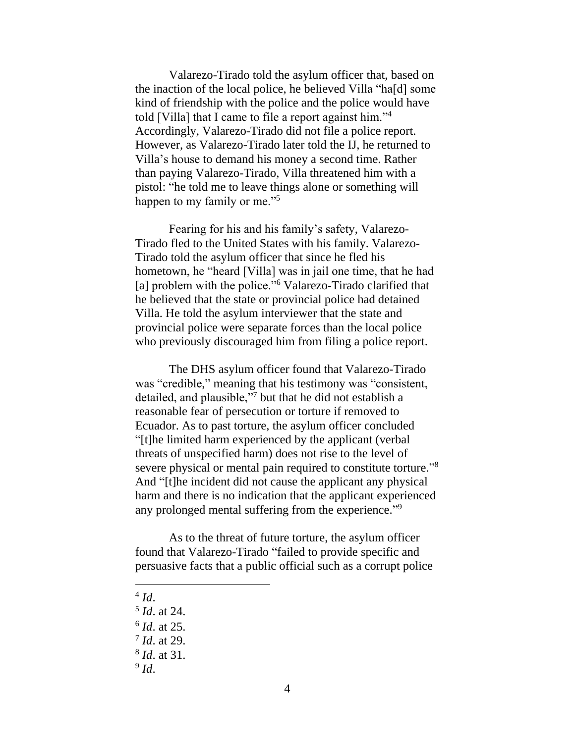Valarezo-Tirado told the asylum officer that, based on the inaction of the local police, he believed Villa "ha[d] some kind of friendship with the police and the police would have told [Villa] that I came to file a report against him."<sup>4</sup> Accordingly, Valarezo-Tirado did not file a police report. However, as Valarezo-Tirado later told the IJ, he returned to Villa's house to demand his money a second time. Rather than paying Valarezo-Tirado, Villa threatened him with a pistol: "he told me to leave things alone or something will happen to my family or me."<sup>5</sup>

Fearing for his and his family's safety, Valarezo-Tirado fled to the United States with his family. Valarezo-Tirado told the asylum officer that since he fled his hometown, he "heard [Villa] was in jail one time, that he had [a] problem with the police."<sup>6</sup> Valarezo-Tirado clarified that he believed that the state or provincial police had detained Villa. He told the asylum interviewer that the state and provincial police were separate forces than the local police who previously discouraged him from filing a police report.

The DHS asylum officer found that Valarezo-Tirado was "credible," meaning that his testimony was "consistent, detailed, and plausible,"<sup>7</sup> but that he did not establish a reasonable fear of persecution or torture if removed to Ecuador. As to past torture, the asylum officer concluded "[t]he limited harm experienced by the applicant (verbal threats of unspecified harm) does not rise to the level of severe physical or mental pain required to constitute torture."<sup>8</sup> And "[t]he incident did not cause the applicant any physical harm and there is no indication that the applicant experienced any prolonged mental suffering from the experience."<sup>9</sup>

As to the threat of future torture, the asylum officer found that Valarezo-Tirado "failed to provide specific and persuasive facts that a public official such as a corrupt police

4 *Id*.

9 *Id*.

<sup>5</sup> *Id*. at 24.

<sup>6</sup> *Id*. at 25.

<sup>7</sup> *Id*. at 29.

<sup>8</sup> *Id*. at 31.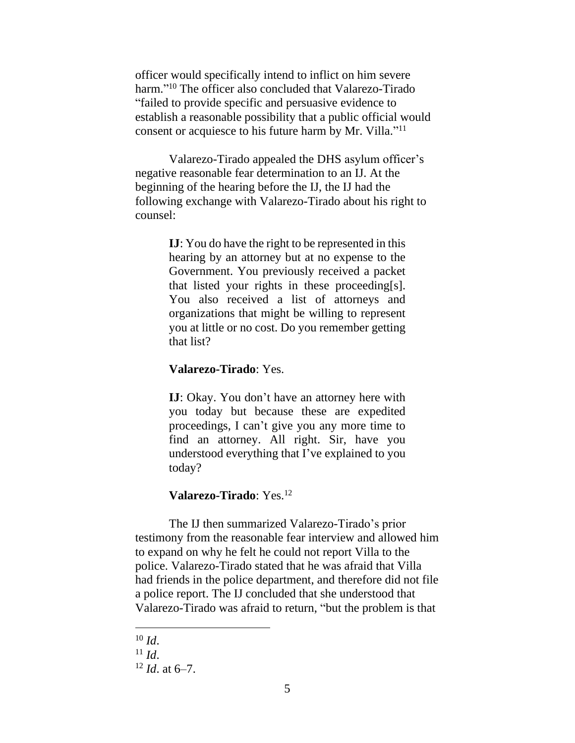officer would specifically intend to inflict on him severe harm." <sup>10</sup> The officer also concluded that Valarezo-Tirado "failed to provide specific and persuasive evidence to establish a reasonable possibility that a public official would consent or acquiesce to his future harm by Mr. Villa."<sup>11</sup>

Valarezo-Tirado appealed the DHS asylum officer's negative reasonable fear determination to an IJ. At the beginning of the hearing before the IJ, the IJ had the following exchange with Valarezo-Tirado about his right to counsel:

> **IJ**: You do have the right to be represented in this hearing by an attorney but at no expense to the Government. You previously received a packet that listed your rights in these proceeding[s]. You also received a list of attorneys and organizations that might be willing to represent you at little or no cost. Do you remember getting that list?

### **Valarezo-Tirado**: Yes.

**IJ**: Okay. You don't have an attorney here with you today but because these are expedited proceedings, I can't give you any more time to find an attorney. All right. Sir, have you understood everything that I've explained to you today?

## **Valarezo-Tirado**: Yes.<sup>12</sup>

The IJ then summarized Valarezo-Tirado's prior testimony from the reasonable fear interview and allowed him to expand on why he felt he could not report Villa to the police. Valarezo-Tirado stated that he was afraid that Villa had friends in the police department, and therefore did not file a police report. The IJ concluded that she understood that Valarezo-Tirado was afraid to return, "but the problem is that

 $10$  *Id.* 

 $11$  *Id*.

<sup>12</sup> *Id*. at 6–7.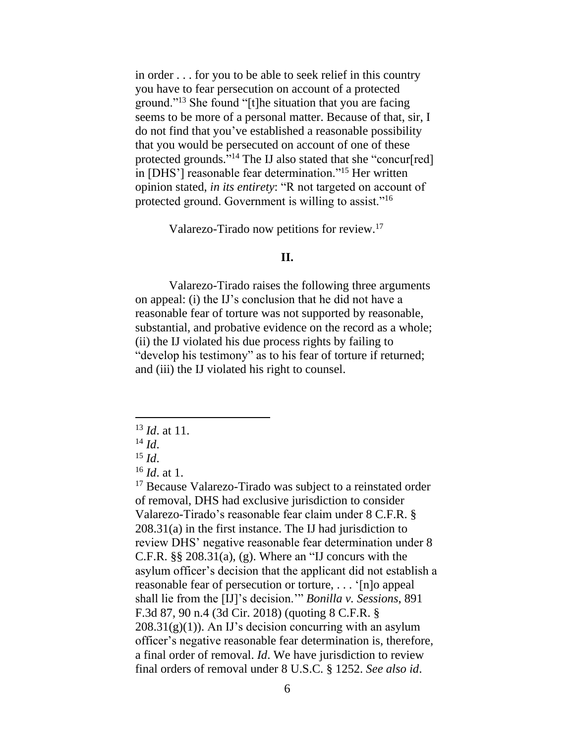in order . . . for you to be able to seek relief in this country you have to fear persecution on account of a protected ground."<sup>13</sup> She found "[t]he situation that you are facing seems to be more of a personal matter. Because of that, sir, I do not find that you've established a reasonable possibility that you would be persecuted on account of one of these protected grounds."<sup>14</sup> The IJ also stated that she "concur[red] in [DHS'] reasonable fear determination."<sup>15</sup> Her written opinion stated, *in its entirety*: "R not targeted on account of protected ground. Government is willing to assist."<sup>16</sup>

Valarezo-Tirado now petitions for review. 17

# **II.**

Valarezo-Tirado raises the following three arguments on appeal: (i) the IJ's conclusion that he did not have a reasonable fear of torture was not supported by reasonable, substantial, and probative evidence on the record as a whole; (ii) the IJ violated his due process rights by failing to "develop his testimony" as to his fear of torture if returned; and (iii) the IJ violated his right to counsel.

<sup>13</sup> *Id*. at 11.

 $14$  *Id.* 

 $^{15}$  *Id*.

<sup>16</sup> *Id*. at 1.

<sup>&</sup>lt;sup>17</sup> Because Valarezo-Tirado was subject to a reinstated order of removal, DHS had exclusive jurisdiction to consider Valarezo-Tirado's reasonable fear claim under 8 C.F.R. § 208.31(a) in the first instance. The IJ had jurisdiction to review DHS' negative reasonable fear determination under 8 C.F.R.  $\S$ § 208.31(a), (g). Where an "IJ concurs with the asylum officer's decision that the applicant did not establish a reasonable fear of persecution or torture, . . . '[n]o appeal shall lie from the [IJ]'s decision.'" *Bonilla v. Sessions*, 891 F.3d 87, 90 n.4 (3d Cir. 2018) (quoting 8 C.F.R. §  $208.31(g)(1)$ ). An IJ's decision concurring with an asylum officer's negative reasonable fear determination is, therefore, a final order of removal. *Id*. We have jurisdiction to review final orders of removal under 8 U.S.C. § 1252. *See also id*.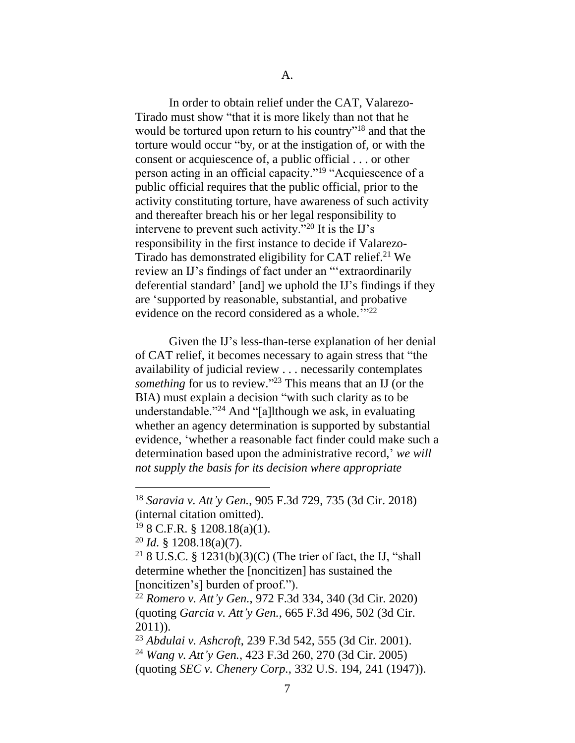In order to obtain relief under the CAT, Valarezo-Tirado must show "that it is more likely than not that he would be tortured upon return to his country"<sup>18</sup> and that the torture would occur "by, or at the instigation of, or with the consent or acquiescence of, a public official . . . or other person acting in an official capacity."<sup>19</sup> "Acquiescence of a public official requires that the public official, prior to the activity constituting torture, have awareness of such activity and thereafter breach his or her legal responsibility to intervene to prevent such activity."<sup>20</sup> It is the IJ's responsibility in the first instance to decide if Valarezo-Tirado has demonstrated eligibility for CAT relief.<sup>21</sup> We review an IJ's findings of fact under an "'extraordinarily deferential standard' [and] we uphold the IJ's findings if they are 'supported by reasonable, substantial, and probative evidence on the record considered as a whole."<sup>22</sup>

Given the IJ's less-than-terse explanation of her denial of CAT relief, it becomes necessary to again stress that "the availability of judicial review . . . necessarily contemplates *something* for us to review." <sup>23</sup> This means that an IJ (or the BIA) must explain a decision "with such clarity as to be understandable."<sup>24</sup> And "[a]lthough we ask, in evaluating whether an agency determination is supported by substantial evidence, 'whether a reasonable fact finder could make such a determination based upon the administrative record,' *we will not supply the basis for its decision where appropriate* 

<sup>20</sup> *Id.* § 1208.18(a)(7).

<sup>21</sup> 8 U.S.C. § 1231(b)(3)(C) (The trier of fact, the IJ, "shall determine whether the [noncitizen] has sustained the [noncitizen's] burden of proof.").

<sup>22</sup> *Romero v. Att'y Gen.*, 972 F.3d 334, 340 (3d Cir. 2020) (quoting *Garcia v. Att'y Gen.*, 665 F.3d 496, 502 (3d Cir. 2011)).

<sup>23</sup> *Abdulai v. Ashcroft*, 239 F.3d 542, 555 (3d Cir. 2001). <sup>24</sup> *Wang v. Att'y Gen.*, 423 F.3d 260, 270 (3d Cir. 2005) (quoting *SEC v. Chenery Corp.*, 332 U.S. 194, 241 (1947)).

<sup>18</sup> *Saravia v. Att'y Gen.*, 905 F.3d 729, 735 (3d Cir. 2018) (internal citation omitted).

 $19$  8 C.F.R. § 1208.18(a)(1).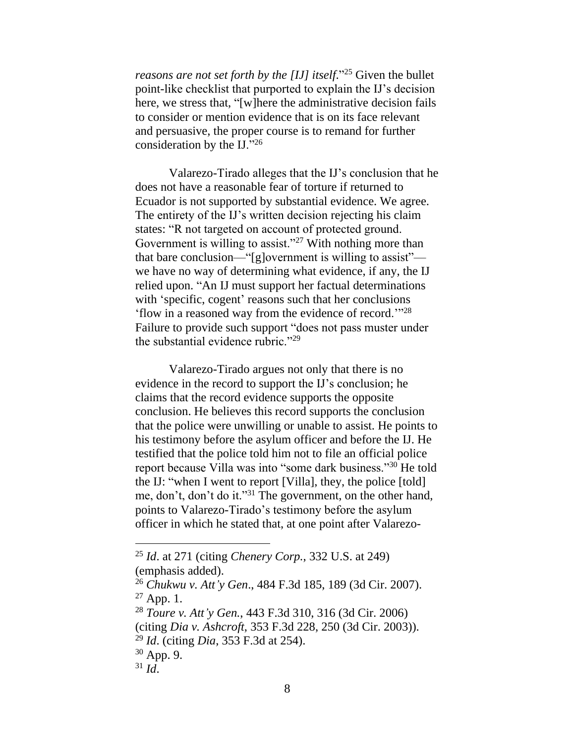*reasons are not set forth by the [IJ] itself*." <sup>25</sup> Given the bullet point-like checklist that purported to explain the IJ's decision here, we stress that, "[w]here the administrative decision fails to consider or mention evidence that is on its face relevant and persuasive, the proper course is to remand for further consideration by the IJ."<sup>26</sup>

Valarezo-Tirado alleges that the IJ's conclusion that he does not have a reasonable fear of torture if returned to Ecuador is not supported by substantial evidence. We agree. The entirety of the IJ's written decision rejecting his claim states: "R not targeted on account of protected ground. Government is willing to assist."<sup>27</sup> With nothing more than that bare conclusion—"[g]overnment is willing to assist" we have no way of determining what evidence, if any, the IJ relied upon. "An IJ must support her factual determinations with 'specific, cogent' reasons such that her conclusions 'flow in a reasoned way from the evidence of record.'"<sup>28</sup> Failure to provide such support "does not pass muster under the substantial evidence rubric."<sup>29</sup>

Valarezo-Tirado argues not only that there is no evidence in the record to support the IJ's conclusion; he claims that the record evidence supports the opposite conclusion. He believes this record supports the conclusion that the police were unwilling or unable to assist. He points to his testimony before the asylum officer and before the IJ. He testified that the police told him not to file an official police report because Villa was into "some dark business."<sup>30</sup> He told the IJ: "when I went to report [Villa], they, the police [told] me, don't, don't do it."<sup>31</sup> The government, on the other hand, points to Valarezo-Tirado's testimony before the asylum officer in which he stated that, at one point after Valarezo-

<sup>25</sup> *Id*. at 271 (citing *Chenery Corp.*, 332 U.S. at 249) (emphasis added).

<sup>26</sup> *Chukwu v. Att'y Gen*., 484 F.3d 185, 189 (3d Cir. 2007).  $27$  App. 1.

<sup>28</sup> *Toure v. Att'y Gen.*, 443 F.3d 310, 316 (3d Cir. 2006) (citing *Dia v. Ashcroft*, 353 F.3d 228, 250 (3d Cir. 2003)). <sup>29</sup> *Id*. (citing *Dia*, 353 F.3d at 254). <sup>30</sup> App. 9.

 $31$  *Id.*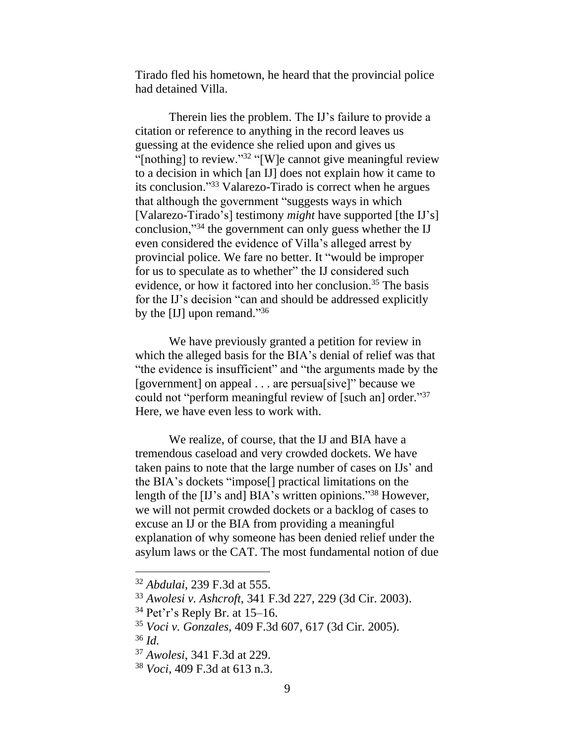Tirado fled his hometown, he heard that the provincial police had detained Villa.

Therein lies the problem. The IJ's failure to provide a citation or reference to anything in the record leaves us guessing at the evidence she relied upon and gives us "[nothing] to review."<sup>32</sup> "[W]e cannot give meaningful review to a decision in which [an IJ] does not explain how it came to its conclusion."<sup>33</sup> Valarezo-Tirado is correct when he argues that although the government "suggests ways in which [Valarezo-Tirado's] testimony *might* have supported [the IJ's] conclusion,"<sup>34</sup> the government can only guess whether the IJ even considered the evidence of Villa's alleged arrest by provincial police. We fare no better. It "would be improper for us to speculate as to whether" the IJ considered such evidence, or how it factored into her conclusion.<sup>35</sup> The basis for the IJ's decision "can and should be addressed explicitly by the [IJ] upon remand."36

We have previously granted a petition for review in which the alleged basis for the BIA's denial of relief was that "the evidence is insufficient" and "the arguments made by the [government] on appeal . . . are persua[sive]" because we could not "perform meaningful review of [such an] order."<sup>37</sup> Here, we have even less to work with.

We realize, of course, that the IJ and BIA have a tremendous caseload and very crowded dockets. We have taken pains to note that the large number of cases on IJs' and the BIA's dockets "impose[] practical limitations on the length of the [IJ's and] BIA's written opinions."<sup>38</sup> However, we will not permit crowded dockets or a backlog of cases to excuse an IJ or the BIA from providing a meaningful explanation of why someone has been denied relief under the asylum laws or the CAT. The most fundamental notion of due

<sup>32</sup> *Abdulai*, 239 F.3d at 555.

<sup>33</sup> *Awolesi v. Ashcroft*, 341 F.3d 227, 229 (3d Cir. 2003).

 $34$  Pet'r's Reply Br. at 15–16.

<sup>35</sup> *Voci v. Gonzales*, 409 F.3d 607, 617 (3d Cir. 2005).

<sup>36</sup> *Id.*

<sup>37</sup> *Awolesi*, 341 F.3d at 229.

<sup>38</sup> *Voci*, 409 F.3d at 613 n.3.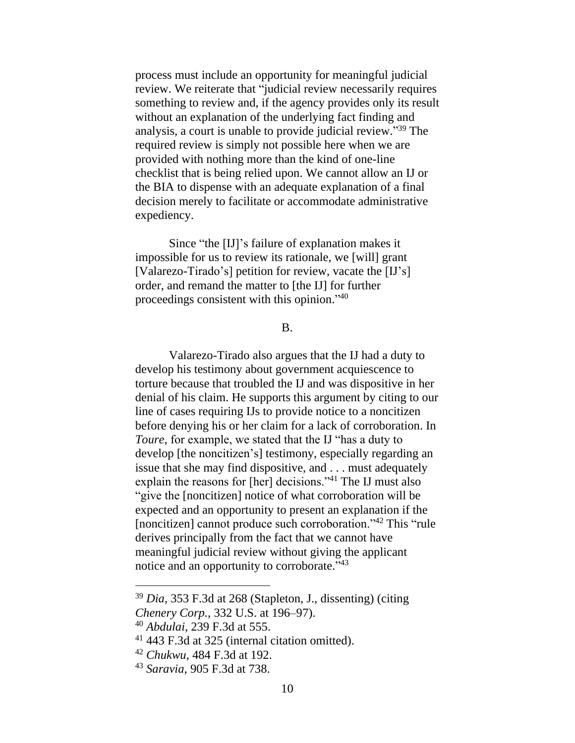process must include an opportunity for meaningful judicial review. We reiterate that "judicial review necessarily requires something to review and, if the agency provides only its result without an explanation of the underlying fact finding and analysis, a court is unable to provide judicial review." <sup>39</sup> The required review is simply not possible here when we are provided with nothing more than the kind of one-line checklist that is being relied upon. We cannot allow an IJ or the BIA to dispense with an adequate explanation of a final decision merely to facilitate or accommodate administrative expediency.

Since "the [IJ]'s failure of explanation makes it impossible for us to review its rationale, we [will] grant [Valarezo-Tirado's] petition for review, vacate the [IJ's] order, and remand the matter to [the IJ] for further proceedings consistent with this opinion." 40

#### B.

Valarezo-Tirado also argues that the IJ had a duty to develop his testimony about government acquiescence to torture because that troubled the IJ and was dispositive in her denial of his claim. He supports this argument by citing to our line of cases requiring IJs to provide notice to a noncitizen before denying his or her claim for a lack of corroboration. In *Toure*, for example, we stated that the IJ "has a duty to develop [the noncitizen's] testimony, especially regarding an issue that she may find dispositive, and . . . must adequately explain the reasons for [her] decisions."<sup>41</sup> The IJ must also "give the [noncitizen] notice of what corroboration will be expected and an opportunity to present an explanation if the [noncitizen] cannot produce such corroboration."<sup>42</sup> This "rule derives principally from the fact that we cannot have meaningful judicial review without giving the applicant notice and an opportunity to corroborate."<sup>43</sup>

<sup>39</sup> *Dia*, 353 F.3d at 268 (Stapleton, J., dissenting) (citing

*Chenery Corp.*, 332 U.S. at 196–97).

<sup>40</sup> *Abdulai*, 239 F.3d at 555.

<sup>41</sup> 443 F.3d at 325 (internal citation omitted).

<sup>42</sup> *Chukwu*, 484 F.3d at 192.

<sup>43</sup> *Saravia*, 905 F.3d at 738.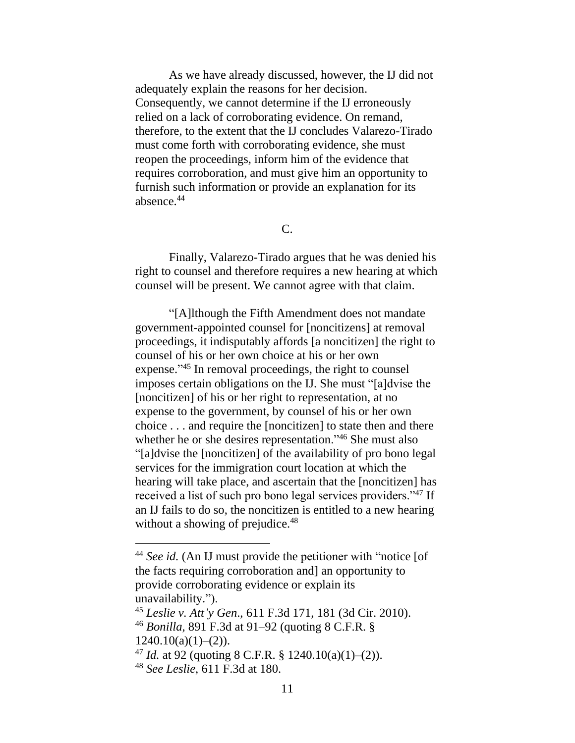As we have already discussed, however, the IJ did not adequately explain the reasons for her decision. Consequently, we cannot determine if the IJ erroneously relied on a lack of corroborating evidence. On remand, therefore, to the extent that the IJ concludes Valarezo-Tirado must come forth with corroborating evidence, she must reopen the proceedings, inform him of the evidence that requires corroboration, and must give him an opportunity to furnish such information or provide an explanation for its absence.<sup>44</sup>

C.

Finally, Valarezo-Tirado argues that he was denied his right to counsel and therefore requires a new hearing at which counsel will be present. We cannot agree with that claim.

"[A]lthough the Fifth Amendment does not mandate government-appointed counsel for [noncitizens] at removal proceedings, it indisputably affords [a noncitizen] the right to counsel of his or her own choice at his or her own expense."<sup>45</sup> In removal proceedings, the right to counsel imposes certain obligations on the IJ. She must "[a]dvise the [noncitizen] of his or her right to representation, at no expense to the government, by counsel of his or her own choice . . . and require the [noncitizen] to state then and there whether he or she desires representation."<sup>46</sup> She must also "[a]dvise the [noncitizen] of the availability of pro bono legal services for the immigration court location at which the hearing will take place, and ascertain that the [noncitizen] has received a list of such pro bono legal services providers."<sup>47</sup> If an IJ fails to do so, the noncitizen is entitled to a new hearing without a showing of prejudice.<sup>48</sup>

<sup>44</sup> *See id.* (An IJ must provide the petitioner with "notice [of the facts requiring corroboration and] an opportunity to provide corroborating evidence or explain its unavailability.").

<sup>45</sup> *Leslie v. Att'y Gen*., 611 F.3d 171, 181 (3d Cir. 2010). <sup>46</sup> *Bonilla*, 891 F.3d at 91–92 (quoting 8 C.F.R. §

 $1240.10(a)(1)–(2)$ .

<sup>&</sup>lt;sup>47</sup> *Id.* at 92 (quoting 8 C.F.R. § 1240.10(a)(1)–(2)).

<sup>48</sup> *See Leslie*, 611 F.3d at 180.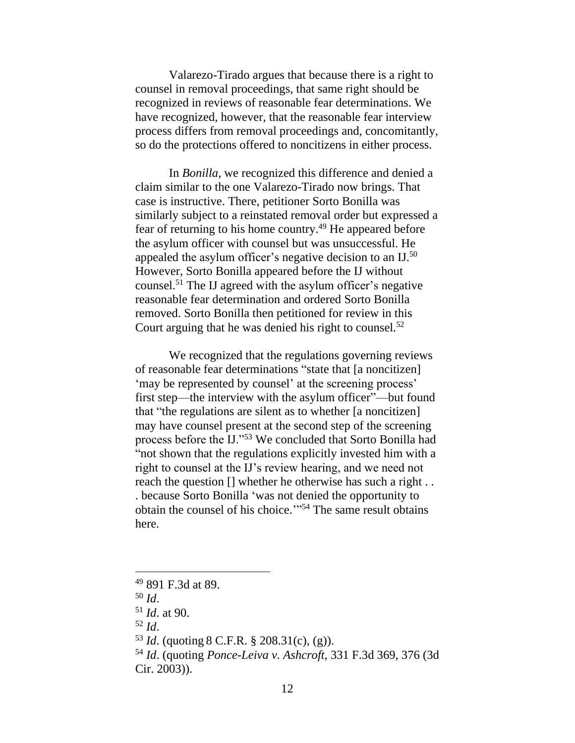Valarezo-Tirado argues that because there is a right to counsel in removal proceedings, that same right should be recognized in reviews of reasonable fear determinations. We have recognized, however, that the reasonable fear interview process differs from removal proceedings and, concomitantly, so do the protections offered to noncitizens in either process.

In *Bonilla*, we recognized this difference and denied a claim similar to the one Valarezo-Tirado now brings. That case is instructive. There, petitioner Sorto Bonilla was similarly subject to a reinstated removal order but expressed a fear of returning to his home country.<sup>49</sup> He appeared before the asylum officer with counsel but was unsuccessful. He appealed the asylum officer's negative decision to an IJ.<sup>50</sup> However, Sorto Bonilla appeared before the IJ without counsel. <sup>51</sup> The IJ agreed with the asylum officer's negative reasonable fear determination and ordered Sorto Bonilla removed. Sorto Bonilla then petitioned for review in this Court arguing that he was denied his right to counsel.<sup>52</sup>

We recognized that the regulations governing reviews of reasonable fear determinations "state that [a noncitizen] 'may be represented by counsel' at the screening process' first step—the interview with the asylum officer"—but found that "the regulations are silent as to whether [a noncitizen] may have counsel present at the second step of the screening process before the IJ."<sup>53</sup> We concluded that Sorto Bonilla had "not shown that the regulations explicitly invested him with a right to counsel at the IJ's review hearing, and we need not reach the question [] whether he otherwise has such a right . . . because Sorto Bonilla 'was not denied the opportunity to obtain the counsel of his choice.'" <sup>54</sup> The same result obtains here.

<sup>49</sup> 891 F.3d at 89.

<sup>50</sup> *Id*.

<sup>51</sup> *Id*. at 90.

<sup>52</sup> *Id*.

<sup>53</sup> *Id*. (quoting 8 C.F.R. § 208.31(c), (g)).

<sup>54</sup> *Id*. (quoting *Ponce-Leiva v. Ashcroft*, 331 F.3d 369, 376 (3d Cir. 2003)).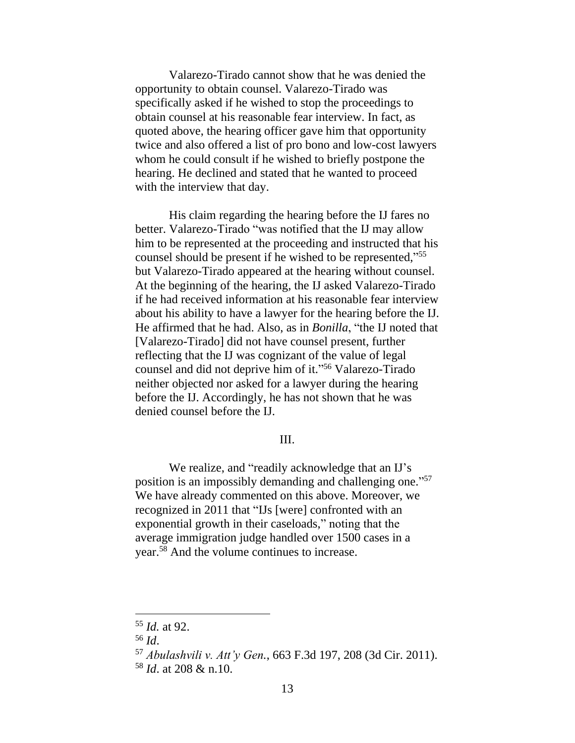Valarezo-Tirado cannot show that he was denied the opportunity to obtain counsel. Valarezo-Tirado was specifically asked if he wished to stop the proceedings to obtain counsel at his reasonable fear interview. In fact, as quoted above, the hearing officer gave him that opportunity twice and also offered a list of pro bono and low-cost lawyers whom he could consult if he wished to briefly postpone the hearing. He declined and stated that he wanted to proceed with the interview that day.

His claim regarding the hearing before the IJ fares no better. Valarezo-Tirado "was notified that the IJ may allow him to be represented at the proceeding and instructed that his counsel should be present if he wished to be represented," 55 but Valarezo-Tirado appeared at the hearing without counsel. At the beginning of the hearing, the IJ asked Valarezo-Tirado if he had received information at his reasonable fear interview about his ability to have a lawyer for the hearing before the IJ. He affirmed that he had. Also, as in *Bonilla*, "the IJ noted that [Valarezo-Tirado] did not have counsel present, further reflecting that the IJ was cognizant of the value of legal counsel and did not deprive him of it." <sup>56</sup> Valarezo-Tirado neither objected nor asked for a lawyer during the hearing before the IJ. Accordingly, he has not shown that he was denied counsel before the IJ.

## III.

We realize, and "readily acknowledge that an IJ's position is an impossibly demanding and challenging one."<sup>57</sup> We have already commented on this above. Moreover, we recognized in 2011 that "IJs [were] confronted with an exponential growth in their caseloads," noting that the average immigration judge handled over 1500 cases in a year.<sup>58</sup> And the volume continues to increase.

<sup>55</sup> *Id.* at 92.

<sup>56</sup> *Id*.

<sup>57</sup> *Abulashvili v. Att'y Gen.*, 663 F.3d 197, 208 (3d Cir. 2011). <sup>58</sup> *Id*. at 208 & n.10.